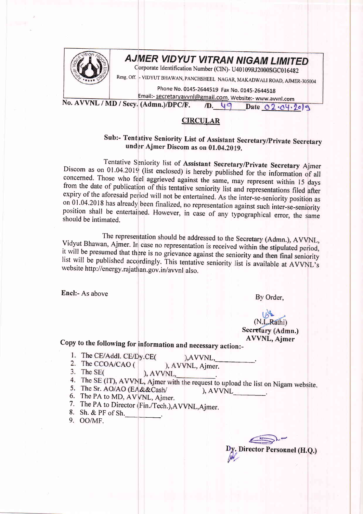

## **AJMER VIDYUT VITRAN NIGAM LIMITED**

Corporate Identification Number (CIN)- U40109RJ2000SGC016482

Resg. Off. -BHAWAN, PANCHSHEEL NAGAR, MAKADWALI ROAD, AJMER-30500<br>.

Phone No. 0145-2644519 Fax No. 0145-2644518 Email:- <u>secretaryavvnl@gmail.com</u>, Website:- www.avvnl.com

No. AVVNL / MD / Secy. (Admn.)/DPC/F.

## **CIRCULAR**

## Sub:- Tentative Seniority List of Assistant Secretary/Private Secretary under Ajmer Discom as on 01.04.2019.

Tentative Seniority list of Assistant Secretary/Private Secretary Ajmer<br>Discom as on 01.04.2019 (list enclosed) is hereby published for the information of all<br>concerned. Those who feel aggrieved against the same, may repre

The representation should be addressed to the Secretary (Admn.), AVVNL,<br>Vidyut Bhawan, Ajmer. In case no representation is received within the stipulated period, it will be presumed that there is no grievance against the seniority and then final seniority<br>list will be published accordingly. This tentative seniority list is available at AVVNL's website http://energy.rajathan.gov.in/avvnl also.

Encl:- As above By Order,

 $(N.L.Rathi)$ Secretary (Admn.) **AVVNL**, Aimer

## copy to the foilowing for information and necessary action:-

- 1. The CE/Addl. CE/Dy.CE(
- ), AVVNL, 2. The CCOA/CAO (
- ), AVVNL, Ajmer.  $3.$  The SE $\ell$
- ), AVVNL,
- 4. The SE (IT), AVVNL, Ajmer with the request to upload the list on Nigam website.<br>5. The Sr. AO/AO (EA&&Cash/), AVVNL
- 5. The Sr. AO/AO (EA&&Cash/<br>6. The PA to MD, AVVNL, Ajmer.
- 
- 7. The PA to Director (Fin./Tech.),AVVNL,Ajmer.<br>8. Sh. & PF of Sh.
- 9. OO/MF.

Director Personnel (H.Q.) V,